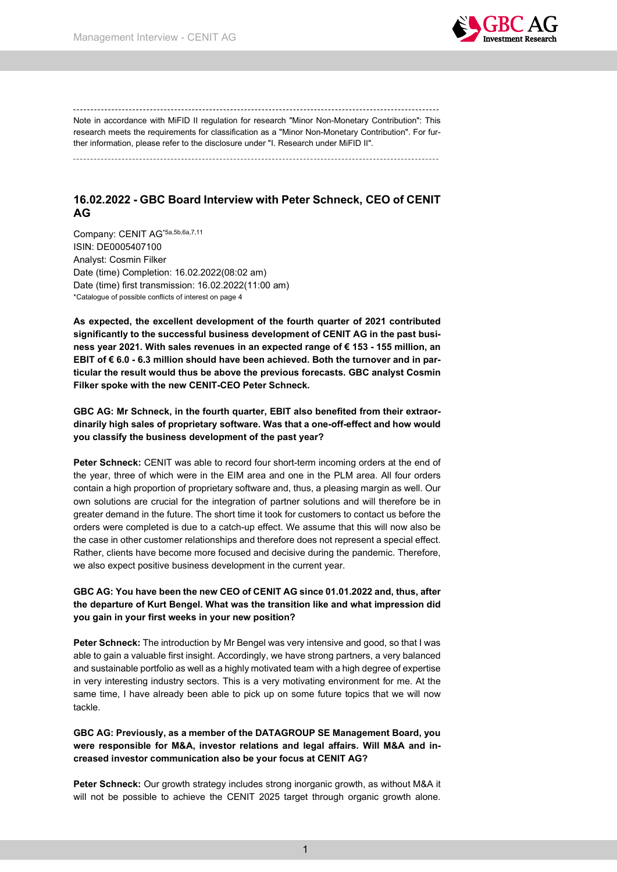

Note in accordance with MiFID II regulation for research "Minor Non-Monetary Contribution": This research meets the requirements for classification as a "Minor Non-Monetary Contribution". For further information, please refer to the disclosure under "I. Research under MiFID II".

# 16.02.2022 - GBC Board Interview with Peter Schneck, CEO of CENIT AG

Company: CENIT AG\*5a,5b,6a,7,11 ISIN: DE0005407100 Analyst: Cosmin Filker Date (time) Completion: 16.02.2022(08:02 am) Date (time) first transmission: 16.02.2022(11:00 am) \*Catalogue of possible conflicts of interest on page 4

As expected, the excellent development of the fourth quarter of 2021 contributed significantly to the successful business development of CENIT AG in the past business year 2021. With sales revenues in an expected range of € 153 - 155 million, an EBIT of  $\epsilon$  6.0 - 6.3 million should have been achieved. Both the turnover and in particular the result would thus be above the previous forecasts. GBC analyst Cosmin Filker spoke with the new CENIT-CEO Peter Schneck.

GBC AG: Mr Schneck, in the fourth quarter, EBIT also benefited from their extraordinarily high sales of proprietary software. Was that a one-off-effect and how would you classify the business development of the past year?

Peter Schneck: CENIT was able to record four short-term incoming orders at the end of the year, three of which were in the EIM area and one in the PLM area. All four orders contain a high proportion of proprietary software and, thus, a pleasing margin as well. Our own solutions are crucial for the integration of partner solutions and will therefore be in greater demand in the future. The short time it took for customers to contact us before the orders were completed is due to a catch-up effect. We assume that this will now also be the case in other customer relationships and therefore does not represent a special effect. Rather, clients have become more focused and decisive during the pandemic. Therefore, we also expect positive business development in the current year.

## GBC AG: You have been the new CEO of CENIT AG since 01.01.2022 and, thus, after the departure of Kurt Bengel. What was the transition like and what impression did you gain in your first weeks in your new position?

Peter Schneck: The introduction by Mr Bengel was very intensive and good, so that I was able to gain a valuable first insight. Accordingly, we have strong partners, a very balanced and sustainable portfolio as well as a highly motivated team with a high degree of expertise in very interesting industry sectors. This is a very motivating environment for me. At the same time, I have already been able to pick up on some future topics that we will now tackle.

## GBC AG: Previously, as a member of the DATAGROUP SE Management Board, you were responsible for M&A, investor relations and legal affairs. Will M&A and increased investor communication also be your focus at CENIT AG?

Peter Schneck: Our growth strategy includes strong inorganic growth, as without M&A it will not be possible to achieve the CENIT 2025 target through organic growth alone.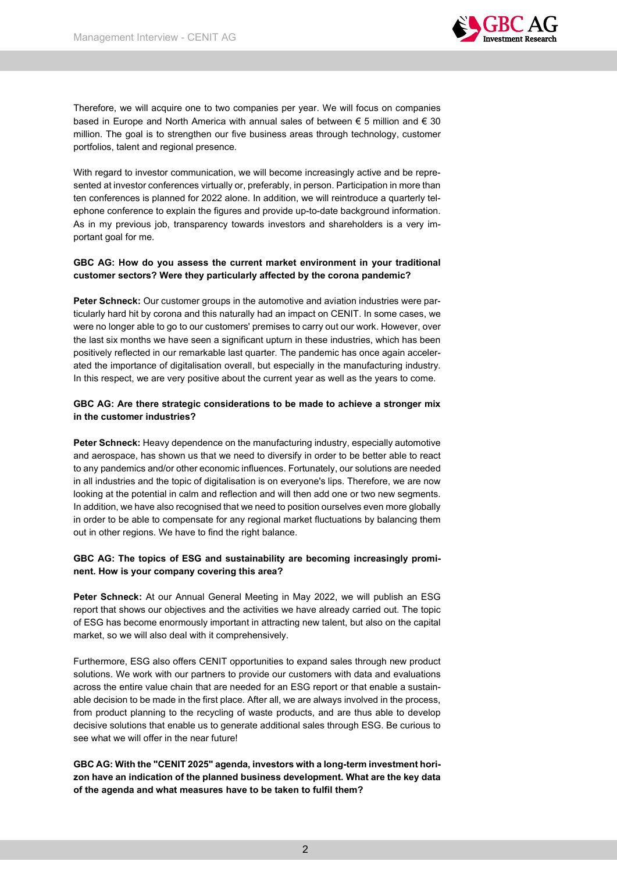

Therefore, we will acquire one to two companies per year. We will focus on companies based in Europe and North America with annual sales of between  $\epsilon$  5 million and  $\epsilon$  30 million. The goal is to strengthen our five business areas through technology, customer portfolios, talent and regional presence.

With regard to investor communication, we will become increasingly active and be represented at investor conferences virtually or, preferably, in person. Participation in more than ten conferences is planned for 2022 alone. In addition, we will reintroduce a quarterly telephone conference to explain the figures and provide up-to-date background information. As in my previous job, transparency towards investors and shareholders is a very important goal for me.

## GBC AG: How do you assess the current market environment in your traditional customer sectors? Were they particularly affected by the corona pandemic?

Peter Schneck: Our customer groups in the automotive and aviation industries were particularly hard hit by corona and this naturally had an impact on CENIT. In some cases, we were no longer able to go to our customers' premises to carry out our work. However, over the last six months we have seen a significant upturn in these industries, which has been positively reflected in our remarkable last quarter. The pandemic has once again accelerated the importance of digitalisation overall, but especially in the manufacturing industry. In this respect, we are very positive about the current year as well as the years to come.

## GBC AG: Are there strategic considerations to be made to achieve a stronger mix in the customer industries?

Peter Schneck: Heavy dependence on the manufacturing industry, especially automotive and aerospace, has shown us that we need to diversify in order to be better able to react to any pandemics and/or other economic influences. Fortunately, our solutions are needed in all industries and the topic of digitalisation is on everyone's lips. Therefore, we are now looking at the potential in calm and reflection and will then add one or two new segments. In addition, we have also recognised that we need to position ourselves even more globally in order to be able to compensate for any regional market fluctuations by balancing them out in other regions. We have to find the right balance.

## GBC AG: The topics of ESG and sustainability are becoming increasingly prominent. How is your company covering this area?

Peter Schneck: At our Annual General Meeting in May 2022, we will publish an ESG report that shows our objectives and the activities we have already carried out. The topic of ESG has become enormously important in attracting new talent, but also on the capital market, so we will also deal with it comprehensively.

Furthermore, ESG also offers CENIT opportunities to expand sales through new product solutions. We work with our partners to provide our customers with data and evaluations across the entire value chain that are needed for an ESG report or that enable a sustainable decision to be made in the first place. After all, we are always involved in the process, from product planning to the recycling of waste products, and are thus able to develop decisive solutions that enable us to generate additional sales through ESG. Be curious to see what we will offer in the near future!

GBC AG: With the "CENIT 2025" agenda, investors with a long-term investment horizon have an indication of the planned business development. What are the key data of the agenda and what measures have to be taken to fulfil them?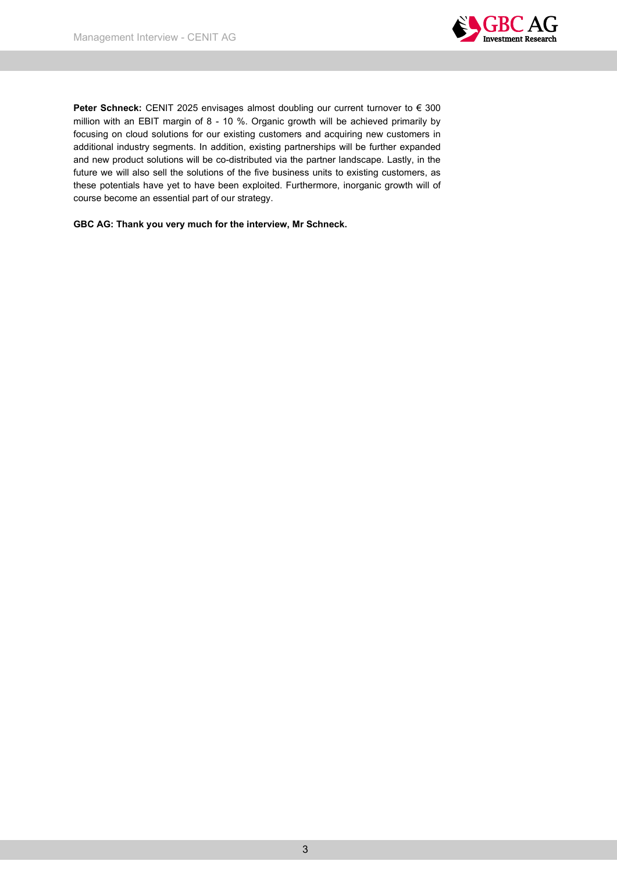

Peter Schneck: CENIT 2025 envisages almost doubling our current turnover to € 300 million with an EBIT margin of 8 - 10 %. Organic growth will be achieved primarily by focusing on cloud solutions for our existing customers and acquiring new customers in additional industry segments. In addition, existing partnerships will be further expanded and new product solutions will be co-distributed via the partner landscape. Lastly, in the future we will also sell the solutions of the five business units to existing customers, as these potentials have yet to have been exploited. Furthermore, inorganic growth will of course become an essential part of our strategy.

GBC AG: Thank you very much for the interview, Mr Schneck.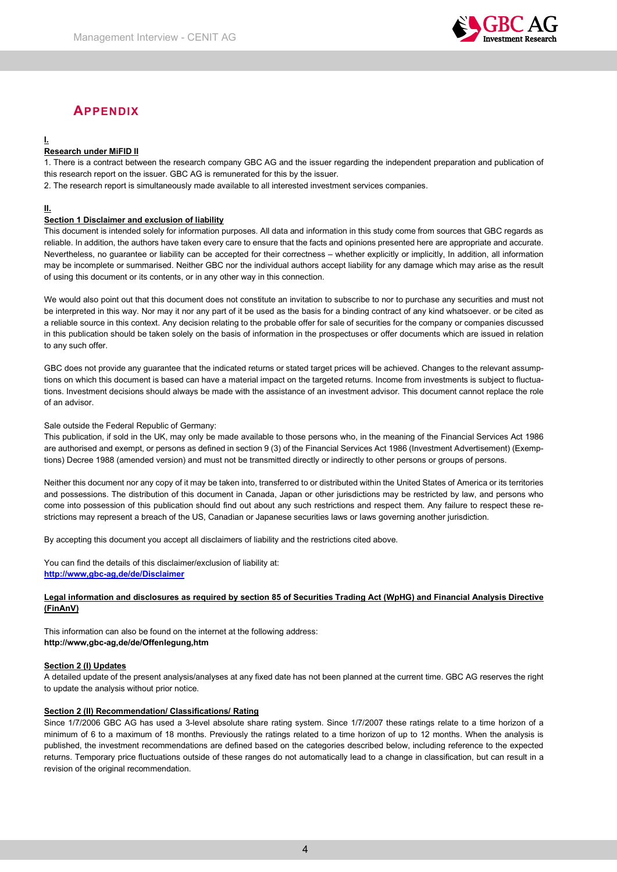

# APPENDIX

## I.

## Research under MiFID II

1. There is a contract between the research company GBC AG and the issuer regarding the independent preparation and publication of this research report on the issuer. GBC AG is remunerated for this by the issuer.

2. The research report is simultaneously made available to all interested investment services companies.

#### II.

#### Section 1 Disclaimer and exclusion of liability

This document is intended solely for information purposes. All data and information in this study come from sources that GBC regards as reliable. In addition, the authors have taken every care to ensure that the facts and opinions presented here are appropriate and accurate. Nevertheless, no guarantee or liability can be accepted for their correctness – whether explicitly or implicitly, In addition, all information may be incomplete or summarised. Neither GBC nor the individual authors accept liability for any damage which may arise as the result of using this document or its contents, or in any other way in this connection.

We would also point out that this document does not constitute an invitation to subscribe to nor to purchase any securities and must not be interpreted in this way. Nor may it nor any part of it be used as the basis for a binding contract of any kind whatsoever. or be cited as a reliable source in this context. Any decision relating to the probable offer for sale of securities for the company or companies discussed in this publication should be taken solely on the basis of information in the prospectuses or offer documents which are issued in relation to any such offer.

GBC does not provide any guarantee that the indicated returns or stated target prices will be achieved. Changes to the relevant assumptions on which this document is based can have a material impact on the targeted returns. Income from investments is subject to fluctuations. Investment decisions should always be made with the assistance of an investment advisor. This document cannot replace the role of an advisor.

#### Sale outside the Federal Republic of Germany:

This publication, if sold in the UK, may only be made available to those persons who, in the meaning of the Financial Services Act 1986 are authorised and exempt, or persons as defined in section 9 (3) of the Financial Services Act 1986 (Investment Advertisement) (Exemptions) Decree 1988 (amended version) and must not be transmitted directly or indirectly to other persons or groups of persons.

Neither this document nor any copy of it may be taken into, transferred to or distributed within the United States of America or its territories and possessions. The distribution of this document in Canada, Japan or other jurisdictions may be restricted by law, and persons who come into possession of this publication should find out about any such restrictions and respect them. Any failure to respect these restrictions may represent a breach of the US, Canadian or Japanese securities laws or laws governing another jurisdiction.

By accepting this document you accept all disclaimers of liability and the restrictions cited above.

You can find the details of this disclaimer/exclusion of liability at: http://www,gbc-ag,de/de/Disclaimer

#### Legal information and disclosures as required by section 85 of Securities Trading Act (WpHG) and Financial Analysis Directive (FinAnV)

This information can also be found on the internet at the following address: http://www,gbc-ag,de/de/Offenlegung,htm

#### Section 2 (I) Updates

A detailed update of the present analysis/analyses at any fixed date has not been planned at the current time. GBC AG reserves the right to update the analysis without prior notice.

#### Section 2 (II) Recommendation/ Classifications/ Rating

Since 1/7/2006 GBC AG has used a 3-level absolute share rating system. Since 1/7/2007 these ratings relate to a time horizon of a minimum of 6 to a maximum of 18 months. Previously the ratings related to a time horizon of up to 12 months. When the analysis is published, the investment recommendations are defined based on the categories described below, including reference to the expected returns. Temporary price fluctuations outside of these ranges do not automatically lead to a change in classification, but can result in a revision of the original recommendation.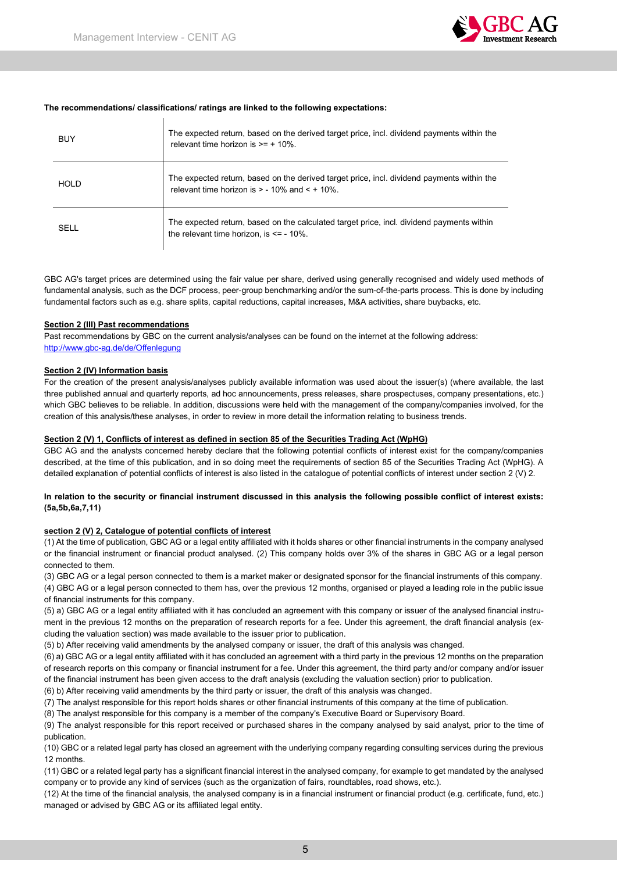

#### The recommendations/ classifications/ ratings are linked to the following expectations:

| <b>BUY</b> | The expected return, based on the derived target price, incl. dividend payments within the<br>relevant time horizon is $>= + 10\%$ .            |
|------------|-------------------------------------------------------------------------------------------------------------------------------------------------|
| HOLD       | The expected return, based on the derived target price, incl. dividend payments within the<br>relevant time horizon is $> 10\%$ and $< +10\%$ . |
| SELL       | The expected return, based on the calculated target price, incl. dividend payments within<br>the relevant time horizon, is $\leq$ - 10%.        |

GBC AG's target prices are determined using the fair value per share, derived using generally recognised and widely used methods of fundamental analysis, such as the DCF process, peer-group benchmarking and/or the sum-of-the-parts process. This is done by including fundamental factors such as e.g. share splits, capital reductions, capital increases, M&A activities, share buybacks, etc.

#### Section 2 (III) Past recommendations

Past recommendations by GBC on the current analysis/analyses can be found on the internet at the following address: http://www.gbc-ag.de/de/Offenlegung

#### Section 2 (IV) Information basis

For the creation of the present analysis/analyses publicly available information was used about the issuer(s) (where available, the last three published annual and quarterly reports, ad hoc announcements, press releases, share prospectuses, company presentations, etc.) which GBC believes to be reliable. In addition, discussions were held with the management of the company/companies involved, for the creation of this analysis/these analyses, in order to review in more detail the information relating to business trends.

#### Section 2 (V) 1, Conflicts of interest as defined in section 85 of the Securities Trading Act (WpHG)

GBC AG and the analysts concerned hereby declare that the following potential conflicts of interest exist for the company/companies described, at the time of this publication, and in so doing meet the requirements of section 85 of the Securities Trading Act (WpHG). A detailed explanation of potential conflicts of interest is also listed in the catalogue of potential conflicts of interest under section 2 (V) 2.

#### In relation to the security or financial instrument discussed in this analysis the following possible conflict of interest exists: (5a,5b,6a,7,11)

#### section 2 (V) 2, Catalogue of potential conflicts of interest

(1) At the time of publication, GBC AG or a legal entity affiliated with it holds shares or other financial instruments in the company analysed or the financial instrument or financial product analysed. (2) This company holds over 3% of the shares in GBC AG or a legal person connected to them.

(3) GBC AG or a legal person connected to them is a market maker or designated sponsor for the financial instruments of this company. (4) GBC AG or a legal person connected to them has, over the previous 12 months, organised or played a leading role in the public issue of financial instruments for this company.

(5) a) GBC AG or a legal entity affiliated with it has concluded an agreement with this company or issuer of the analysed financial instrument in the previous 12 months on the preparation of research reports for a fee. Under this agreement, the draft financial analysis (excluding the valuation section) was made available to the issuer prior to publication.

(5) b) After receiving valid amendments by the analysed company or issuer, the draft of this analysis was changed.

(6) a) GBC AG or a legal entity affiliated with it has concluded an agreement with a third party in the previous 12 months on the preparation of research reports on this company or financial instrument for a fee. Under this agreement, the third party and/or company and/or issuer of the financial instrument has been given access to the draft analysis (excluding the valuation section) prior to publication.

(6) b) After receiving valid amendments by the third party or issuer, the draft of this analysis was changed.

(7) The analyst responsible for this report holds shares or other financial instruments of this company at the time of publication.

(8) The analyst responsible for this company is a member of the company's Executive Board or Supervisory Board.

(9) The analyst responsible for this report received or purchased shares in the company analysed by said analyst, prior to the time of publication.

(10) GBC or a related legal party has closed an agreement with the underlying company regarding consulting services during the previous 12 months.

(11) GBC or a related legal party has a significant financial interest in the analysed company, for example to get mandated by the analysed company or to provide any kind of services (such as the organization of fairs, roundtables, road shows, etc.).

(12) At the time of the financial analysis, the analysed company is in a financial instrument or financial product (e.g. certificate, fund, etc.) managed or advised by GBC AG or its affiliated legal entity.